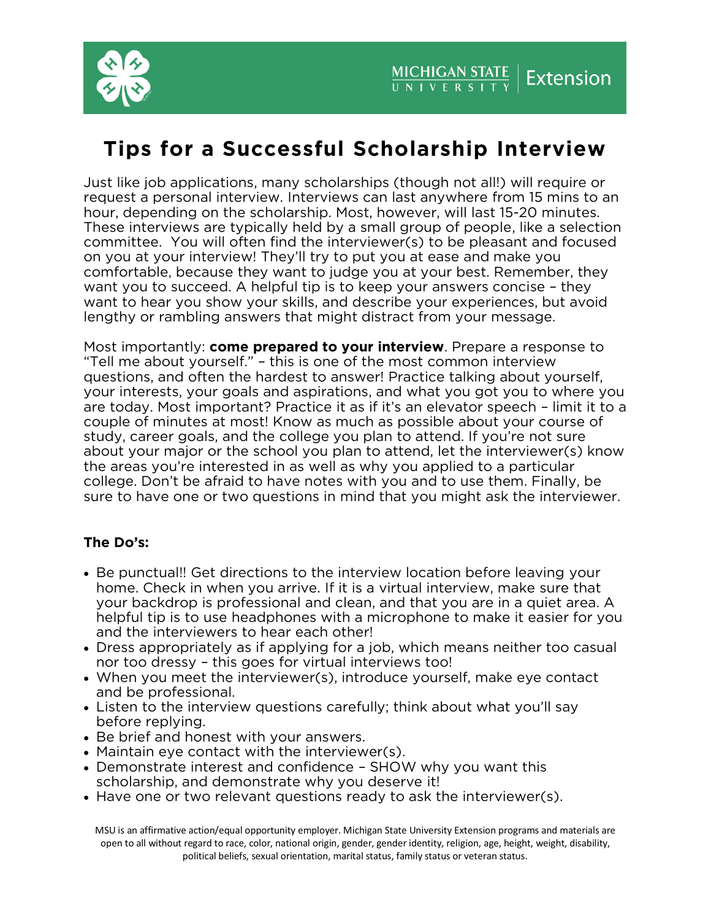

## **Tips for a Successful Scholarship Interview**<br>Just like job applications, many scholarships (though not all!) will require or

request a personal interview. Interviews can last anywhere from 15 mins to an hour, depending on the scholarship. Most, however, will last 15-20 minutes. These interviews are typically held by a small group of people, like a selection committee. You will often find the interviewer(s) to be pleasant and focused on you at your interview! They'll try to put you at ease and make you comfortable, because they want to judge you at your best. Remember, they want you to succeed. A helpful tip is to keep your answers concise - they want to hear you show your skills, and describe your experiences, but avoid  $\alpha$  lengthy or rambling answers that might distract from your message. lengthy or rambling answers that might distract from your message.

Most importantly: **come prepared to your interview**. Prepare a response to "Tell me about yourself." – this is one of the most common interview questions, and often the hardest to answer! Practice talking about yourself, your interests, your goals and aspirations, and what you got you to where you are today. Most important? Practice it as if it's an elevator speech - limit it to a couple of minutes at most! Know as much as possible about your course of study, career goals, and the college you plan to attend. If you're not sure about your major or the school you plan to attend, let the interviewer(s) know the areas you're interested in as well as why you applied to a particular college. Don't be afraid to have notes with you and to use them. Finally, be come general the college matter with the college and to the mean many, be considered. sure to have one or two questions in mind that you might ask the interviewer.

## The Do's: **The Do's:**

- Be punctual!! Get directions to the interview location before leaving your home. Check in when you arrive. If it is a virtual interview, make sure that your backdrop is professional and clean, and that you are in a quiet area. A helpful tip is to use headphones with a microphone to make it easier for you and the interviewers to hear each other!
- Dress appropriately as if applying for a job, which means neither too casual<br>nor too dressy this goes for virtual interviews too!
- When you meet the interviewer(s), introduce yourself, make eye contact and be professional.
- Listen to the interview questions carefully; think about what you'll say<br>before replying.
- Be brief and honest with your answers.<br>• Maintain eve contact with the interview
- Maintain eye contact with the interviewer(s).
- Demonstrate interest and confidence SHOW why you want this scholarship, and demonstrate why you deserve it!
- Have one or two relevant questions ready to ask the interviewer(s).

MSU is an affirmative action/equal opportunity employer. Michigan State University Extension programs and materials are open to all without regard to race, color, national origin, gender, gender identity, religion, age, height, weight, disability, political beliefs, sexual orientation, marital status, family status or veteran status.